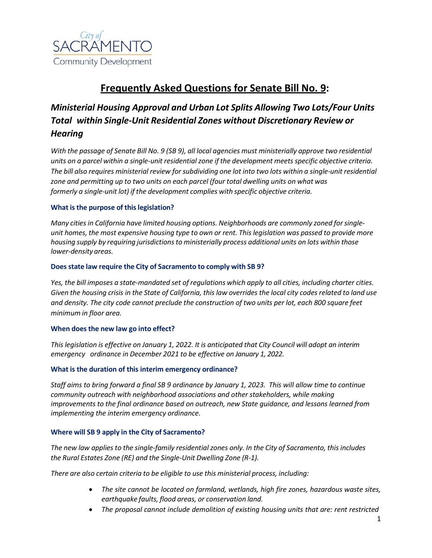

# **Frequently Asked Questions for Senate Bill No. 9:**

# *Ministerial Housing Approval and Urban Lot Splits Allowing Two Lots/Four Units Total within Single-Unit Residential Zones without Discretionary Review or Hearing*

With the passage of Senate Bill No. 9 (SB 9), all local agencies must ministerially approve two residential *units on a parcel within a single-unit residential zone if the development meetsspecific objective criteria. The bill also requires ministerial review forsubdividing one lot into two lots within a single-unit residential zone and permitting up to two units on each parcel (four total dwelling units on what was formerly a single-unit lot) if the development complies with specific objective criteria.*

# **What isthe purpose of thislegislation?**

*Many cities in California have limited housing options. Neighborhoods are commonly zoned forsingle*unit homes, the most expensive housing type to own or rent. This legislation was passed to provide more *housing supply by requiring jurisdictionsto ministerially process additional units on lots within those lower-density areas.*

# **Doesstate law require the City of Sacramento to comply with SB 9?**

Yes, the bill imposes a state-mandated set of regulations which apply to all cities, including charter cities. Given the housing crisis in the State of California, this law overrides the local city codes related to land use and density. The city code cannot preclude the construction of two units per lot, each 800 square feet *minimum in floor area.*

# **When does the new law go into effect?**

This legislation is effective on January 1, 2022. It is anticipated that City Council will adopt an interim *emergency ordinance in December 2021 to be effective on January 1, 2022.*

# **What is the duration of this interim emergency ordinance?**

*Staff aims to bring forward a final SB 9 ordinance by January 1, 2023. This will allow time to continue community outreach with neighborhood associations and other stakeholders, while making improvements to the final ordinance based on outreach, new State guidance, and lessons learned from implementing the interim emergency ordinance.*

# **Where will SB 9 apply in the City of Sacramento?**

*The new law applies to the single-family residential zones only. In the City of Sacramento, this includes the Rural Estates Zone (RE) and the Single-Unit Dwelling Zone (R-1).*

*There are also certain criteria to be eligible to use this ministerial process, including:*

- *The site cannot be located on farmland, wetlands, high fire zones, hazardous waste sites, earthquake faults, flood areas, or conservation land.*
- *The proposal cannot include demolition of existing housing units that are: rent restricted*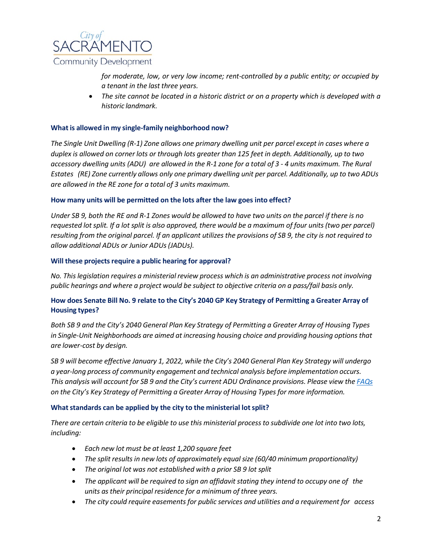

*for moderate, low, or very low income; rent-controlled by a public entity; or occupied by a tenant in the last three years.*

• *The site cannot be located in a historic district or on a property which is developed with a historic landmark.*

# **What is allowed in my single-family neighborhood now?**

The Single Unit Dwelling (R-1) Zone allows one primary dwelling unit per parcel except in cases where a duplex is allowed on corner lots or through lots greater than 125 feet in depth. Additionally, up to two accessory dwelling units (ADU) are allowed in the R-1 zone for a total of 3 - 4 units maximum. The Rural Estates (RE) Zone currently allows only one primary dwelling unit per parcel. Additionally, up to two ADUs *are allowed in the RE zone for a total of 3 units maximum.*

#### **How many units will be permitted on the lots after the law goes into effect?**

Under SB 9, both the RE and R-1 Zones would be allowed to have two units on the parcel if there is no requested lot split. If a lot split is also approved, there would be a maximum of four units (two per parcel) resulting from the original parcel. If an applicant utilizes the provisions of SB 9, the city is not required to *allow additional ADUs or Junior ADUs(JADUs).*

#### **Will these projects require a public hearing for approval?**

*No. This legislation requires a ministerial review process which is an administrative process not involving public hearings and where a project would be subject to objective criteria on a pass/fail basis only.*

# How does Senate Bill No. 9 relate to the City's 2040 GP Key Strategy of Permitting a Greater Array of **Housing types?**

Both SB 9 and the City's 2040 General Plan Key Strategy of Permitting a Greater Array of Housing Types *in Single-Unit Neighborhoods are aimed at increasing housing choice and providing housing options that are lower-cost by design.*

SB 9 will become effective January 1, 2022, while the City's 2040 General Plan Key Strategy will undergo *a year-long process of community engagement and technical analysis before implementation occurs.* This analysis will account for SB 9 and the City's current ADU Ordinance provisions. Please view the [FAQs](http://www.cityofsacramento.org/-/media/Corporate/Files/CDD/Planning/General-Plan/2040-General-Plan/Permit-a-Greater-Array-of-Housing-Types-in-Single-Unit-Neighborhoods-FAQs_V2_July-2021_Final-3.pdf?la=en) *on the City's Key Strategy of Permitting a Greater Array of Housing Types for more information.*

#### **What standards can be applied by the city to the ministerial lot split?**

There are certain criteria to be eligible to use this ministerial process to subdivide one lot into two lots, *including:*

- *Each new lot must be at least 1,200 square feet*
- *The split results in new lots of approximately equal size (60/40 minimum proportionality)*
- *The original lot was not established with a prior SB 9 lot split*
- *The applicant will be required to sign an affidavit stating they intend to occupy one of the units as their principal residence for a minimum of three years.*
- *The city could require easements for public services and utilities and a requirement for access*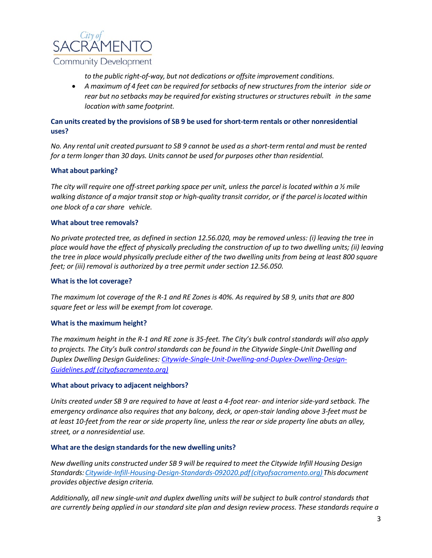

*to the public right-of-way, but not dedications or offsite improvement conditions.*

• *A maximum of 4 feet can be required for setbacks of new structures from the interior side or rear but no setbacks may be required for existing structures or structures rebuilt in the same location with same footprint.*

# **Can units created by the provisions of SB 9 be used for short-term rentals or other nonresidential uses?**

No. Any rental unit created pursuant to SB 9 cannot be used as a short-term rental and must be rented *for a term longer than 30 days. Units cannot be used for purposes other than residential.*

# **What about parking?**

The city will require one off-street parking space per unit, unless the parcel is located within a  $\frac{1}{2}$  mile *walking distance of a major transit stop or high-quality transit corridor, or if the parcel is located within one block of a car share vehicle.*

#### **What about tree removals?**

*No private protected tree, as defined in section 12.56.020, may be removed unless: (i) leaving the tree in place would have the effect of physically precluding the construction of up to two dwelling units; (ii) leaving the tree in place would physically preclude either of the two dwelling units from being at least 800 square feet; or (iii) removal is authorized by a tree permit under section 12.56.050.*

### **What is the lot coverage?**

*The maximum lot coverage of the R-1 and RE Zones is 40%. As required by SB 9, units that are 800 square feet or less will be exempt from lot coverage.*

# **What is the maximum height?**

*The maximum height in the R-1 and RE zone is 35-feet. The City's bulk control standards will also apply to projects. The City's bulk control standards can be found in the Citywide Single-Unit Dwelling and Duplex Dwelling Design Guidelines: [Citywide-Single-Unit-Dwelling-and-Duplex-Dwelling-Design-](https://www.cityofsacramento.org/-/media/Corporate/Files/CDD/Planning/Forms/Citywide-Single-Unit-Dwelling-and-Duplex-Dwelling-Design-Guidelines.pdf?la=en)[Guidelines.pdf \(cityofsacramento.org\)](https://www.cityofsacramento.org/-/media/Corporate/Files/CDD/Planning/Forms/Citywide-Single-Unit-Dwelling-and-Duplex-Dwelling-Design-Guidelines.pdf?la=en)*

# **What about privacy to adjacent neighbors?**

*Units created under SB 9 are required to have at least a 4-foot rear- and interior side-yard setback. The emergency ordinance also requires that any balcony, deck, or open-stair landing above 3-feet must be at least 10-feet from the rear or side property line, unless the rear or side property line abuts an alley, street, or a nonresidential use.*

#### **What are the design standardsfor the new dwelling units?**

*New dwelling units constructed under SB 9 will be required to meet the Citywide Infill Housing Design Standards[:Citywide-Infill-Housing-Design-Standards-092020.pdf\(cityofsacramento.org\)](https://www.cityofsacramento.org/-/media/Corporate/Files/CDD/Planning/Long-Range/Infill/Citywide-Infill-Housing-Design-Standards-092020.pdf?la=en) Thisdocument provides objective design criteria.*

*Additionally, all new single-unit and duplex dwelling units will be subject to bulk control standards that are currently being applied in our standard site plan and design review process. These standards require a*